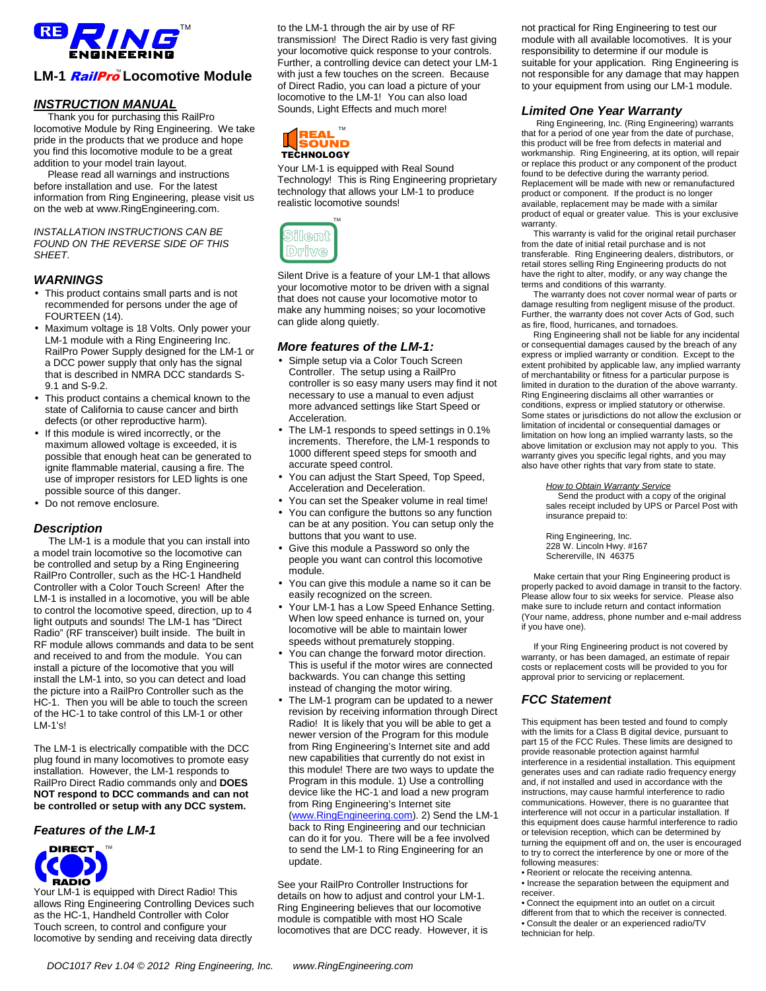

## LM-1 *RailPro* Locomotive Module

## **INSTRUCTION MANUAL**

 Thank you for purchasing this RailPro locomotive Module by Ring Engineering. We take pride in the products that we produce and hope you find this locomotive module to be a great addition to your model train layout.

 Please read all warnings and instructions before installation and use. For the latest information from Ring Engineering, please visit us on the web at www.RingEngineering.com.

INSTALLATION INSTRUCTIONS CAN BE FOUND ON THE REVERSE SIDE OF THIS SHEET.

## **WARNINGS**

- This product contains small parts and is not recommended for persons under the age of FOURTEEN (14).
- Maximum voltage is 18 Volts. Only power your LM-1 module with a Ring Engineering Inc. RailPro Power Supply designed for the LM-1 or a DCC power supply that only has the signal that is described in NMRA DCC standards S-9.1 and S-9.2.
- This product contains a chemical known to the state of California to cause cancer and birth defects (or other reproductive harm).
- If this module is wired incorrectly, or the maximum allowed voltage is exceeded, it is possible that enough heat can be generated to ignite flammable material, causing a fire. The use of improper resistors for LED lights is one possible source of this danger.
- Do not remove enclosure.

## **Description**

 The LM-1 is a module that you can install into a model train locomotive so the locomotive can be controlled and setup by a Ring Engineering RailPro Controller, such as the HC-1 Handheld Controller with a Color Touch Screen! After the LM-1 is installed in a locomotive, you will be able to control the locomotive speed, direction, up to 4 light outputs and sounds! The LM-1 has "Direct Radio" (RF transceiver) built inside. The built in RF module allows commands and data to be sent and received to and from the module. You can install a picture of the locomotive that you will install the LM-1 into, so you can detect and load the picture into a RailPro Controller such as the HC-1. Then you will be able to touch the screen of the HC-1 to take control of this LM-1 or other  $LM-1's!$ 

The LM-1 is electrically compatible with the DCC plug found in many locomotives to promote easy installation. However, the LM-1 responds to RailPro Direct Radio commands only and **DOES NOT respond to DCC commands and can not be controlled or setup with any DCC system.** 

#### **Features of the LM-1**



Your LM-1 is equipped with Direct Radio! This allows Ring Engineering Controlling Devices such as the HC-1, Handheld Controller with Color Touch screen, to control and configure your locomotive by sending and receiving data directly

to the LM-1 through the air by use of RF transmission! The Direct Radio is very fast giving your locomotive quick response to your controls. Further, a controlling device can detect your LM-1 with just a few touches on the screen. Because of Direct Radio, you can load a picture of your locomotive to the LM-1! You can also load Sounds, Light Effects and much more!



Your LM-1 is equipped with Real Sound Technology! This is Ring Engineering proprietary technology that allows your LM-1 to produce realistic locomotive sounds!



Silent Drive is a feature of your LM-1 that allows your locomotive motor to be driven with a signal that does not cause your locomotive motor to make any humming noises; so your locomotive can glide along quietly.

#### **More features of the LM-1:**

- Simple setup via a Color Touch Screen Controller. The setup using a RailPro controller is so easy many users may find it not necessary to use a manual to even adjust more advanced settings like Start Speed or Acceleration.
- The LM-1 responds to speed settings in 0.1% increments. Therefore, the LM-1 responds to 1000 different speed steps for smooth and accurate speed control.
- You can adjust the Start Speed, Top Speed, Acceleration and Deceleration.
- You can set the Speaker volume in real time!
- You can configure the buttons so any function can be at any position. You can setup only the buttons that you want to use.
- Give this module a Password so only the people you want can control this locomotive module.
- You can give this module a name so it can be easily recognized on the screen.
- Your LM-1 has a Low Speed Enhance Setting. When low speed enhance is turned on, your locomotive will be able to maintain lower speeds without prematurely stopping.
- You can change the forward motor direction. This is useful if the motor wires are connected backwards. You can change this setting instead of changing the motor wiring.
- The LM-1 program can be updated to a newer revision by receiving information through Direct Radio! It is likely that you will be able to get a newer version of the Program for this module from Ring Engineering's Internet site and add new capabilities that currently do not exist in this module! There are two ways to update the Program in this module. 1) Use a controlling device like the HC-1 and load a new program from Ring Engineering's Internet site (www.RingEngineering.com). 2) Send the LM-1 back to Ring Engineering and our technician can do it for you. There will be a fee involved to send the LM-1 to Ring Engineering for an update.

See your RailPro Controller Instructions for details on how to adjust and control your LM-1. Ring Engineering believes that our locomotive module is compatible with most HO Scale locomotives that are DCC ready. However, it is not practical for Ring Engineering to test our module with all available locomotives. It is your responsibility to determine if our module is suitable for your application. Ring Engineering is not responsible for any damage that may happen to your equipment from using our LM-1 module.

## **Limited One Year Warranty**

 Ring Engineering, Inc. (Ring Engineering) warrants that for a period of one year from the date of purchase, this product will be free from defects in material and workmanship. Ring Engineering, at its option, will repair or replace this product or any component of the product found to be defective during the warranty period. Replacement will be made with new or remanufactured product or component. If the product is no longer available, replacement may be made with a similar product of equal or greater value. This is your exclusive warranty.

 This warranty is valid for the original retail purchaser from the date of initial retail purchase and is not transferable. Ring Engineering dealers, distributors, or retail stores selling Ring Engineering products do not have the right to alter, modify, or any way change the terms and conditions of this warranty.

 The warranty does not cover normal wear of parts or damage resulting from negligent misuse of the product. Further, the warranty does not cover Acts of God, such as fire, flood, hurricanes, and tornadoes.

 Ring Engineering shall not be liable for any incidental or consequential damages caused by the breach of any express or implied warranty or condition. Except to the extent prohibited by applicable law, any implied warranty of merchantability or fitness for a particular purpose is limited in duration to the duration of the above warranty. Ring Engineering disclaims all other warranties or conditions, express or implied statutory or otherwise. Some states or jurisdictions do not allow the exclusion or limitation of incidental or consequential damages or limitation on how long an implied warranty lasts, so the above limitation or exclusion may not apply to you. This warranty gives you specific legal rights, and you may also have other rights that vary from state to state.

#### **How to Obtain Warranty Service**

Send the product with a copy of the original sales receipt included by UPS or Parcel Post with insurance prepaid to:

Ring Engineering, Inc. 228 W. Lincoln Hwy. #167 Schererville, IN 46375

 Make certain that your Ring Engineering product is properly packed to avoid damage in transit to the factory. Please allow four to six weeks for service. Please also make sure to include return and contact information (Your name, address, phone number and e-mail address if you have one).

 If your Ring Engineering product is not covered by warranty, or has been damaged, an estimate of repair costs or replacement costs will be provided to you for approval prior to servicing or replacement.

## **FCC Statement**

This equipment has been tested and found to comply with the limits for a Class B digital device, pursuant to part 15 of the FCC Rules. These limits are designed to provide reasonable protection against harmful interference in a residential installation. This equipment generates uses and can radiate radio frequency energy and, if not installed and used in accordance with the instructions, may cause harmful interference to radio communications. However, there is no guarantee that interference will not occur in a particular installation. If this equipment does cause harmful interference to radio or television reception, which can be determined by turning the equipment off and on, the user is encouraged to try to correct the interference by one or more of the following measures:

- Reorient or relocate the receiving antenna.
- Increase the separation between the equipment and receiver.
- Connect the equipment into an outlet on a circuit different from that to which the receiver is connected. • Consult the dealer or an experienced radio/TV technician for help.